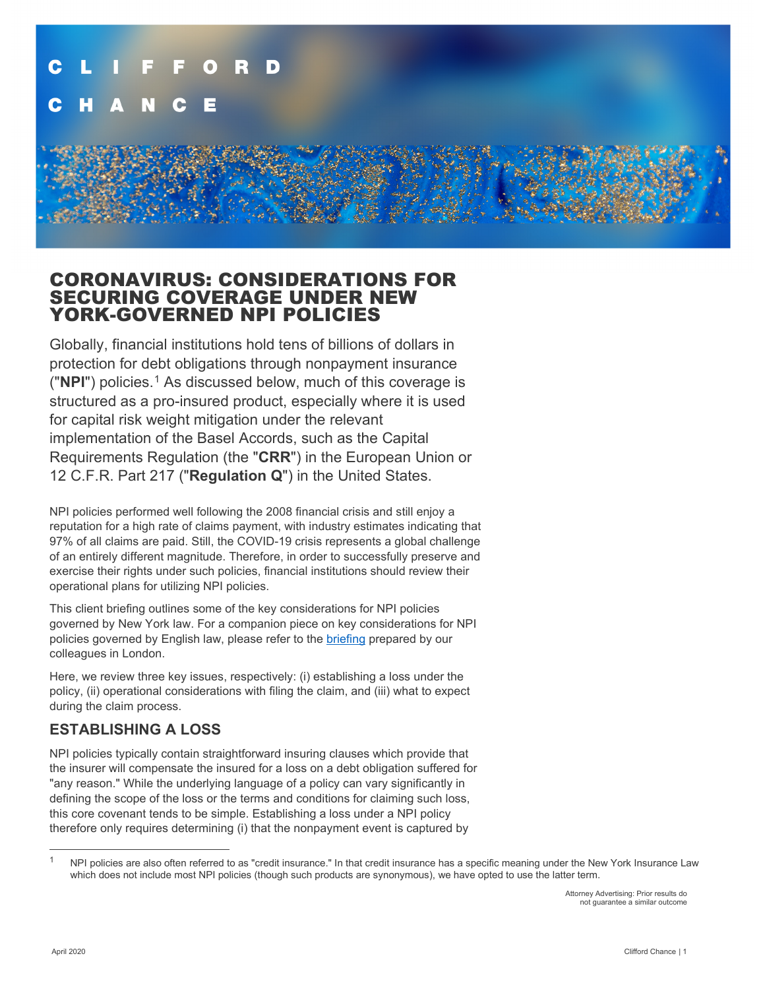

## CORONAVIRUS: CONSIDERATIONS FOR SECURING COVERAGE UNDER NEW YORK-GOVERNED NPI POLICIES

Globally, financial institutions hold tens of billions of dollars in protection for debt obligations through nonpayment insurance ("**NPI**") policies.[1](#page-0-0) As discussed below, much of this coverage is structured as a pro-insured product, especially where it is used for capital risk weight mitigation under the relevant implementation of the Basel Accords, such as the Capital Requirements Regulation (the "**CRR**") in the European Union or 12 C.F.R. Part 217 ("**Regulation Q**") in the United States.

NPI policies performed well following the 2008 financial crisis and still enjoy a reputation for a high rate of claims payment, with industry estimates indicating that 97% of all claims are paid. Still, the COVID-19 crisis represents a global challenge of an entirely different magnitude. Therefore, in order to successfully preserve and exercise their rights under such policies, financial institutions should review their operational plans for utilizing NPI policies.

This client briefing outlines some of the key considerations for NPI policies governed by New York law. For a companion piece on key considerations for NPI policies governed by English law, please refer to the [briefing](https://www.cliffordchance.com/briefings/2020/04/coronavirus--considerations-when-claiming-on-credit-insurance.html) prepared by our colleagues in London.

Here, we review three key issues, respectively: (i) establishing a loss under the policy, (ii) operational considerations with filing the claim, and (iii) what to expect during the claim process.

## **ESTABLISHING A LOSS**

NPI policies typically contain straightforward insuring clauses which provide that the insurer will compensate the insured for a loss on a debt obligation suffered for "any reason." While the underlying language of a policy can vary significantly in defining the scope of the loss or the terms and conditions for claiming such loss, this core covenant tends to be simple. Establishing a loss under a NPI policy therefore only requires determining (i) that the nonpayment event is captured by

<span id="page-0-0"></span>NPI policies are also often referred to as "credit insurance." In that credit insurance has a specific meaning under the New York Insurance Law which does not include most NPI policies (though such products are synonymous), we have opted to use the latter term.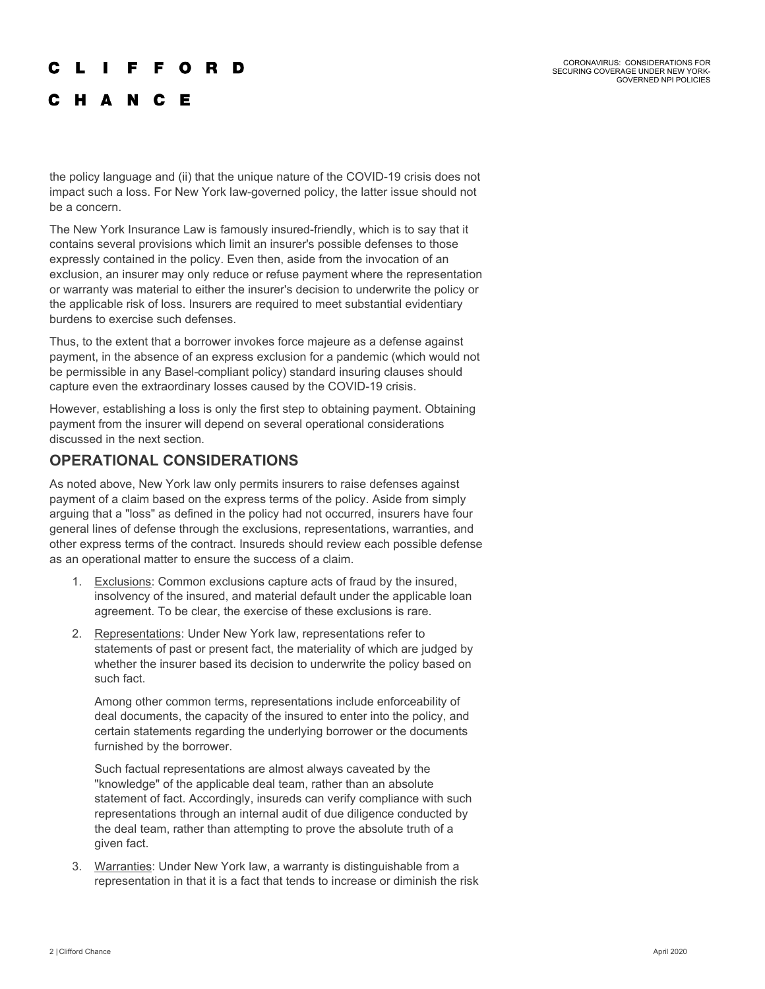#### **FFORD**  $\mathbf{L}$

C H A N C E

the policy language and (ii) that the unique nature of the COVID-19 crisis does not impact such a loss. For New York law-governed policy, the latter issue should not be a concern.

The New York Insurance Law is famously insured-friendly, which is to say that it contains several provisions which limit an insurer's possible defenses to those expressly contained in the policy. Even then, aside from the invocation of an exclusion, an insurer may only reduce or refuse payment where the representation or warranty was material to either the insurer's decision to underwrite the policy or the applicable risk of loss. Insurers are required to meet substantial evidentiary burdens to exercise such defenses.

Thus, to the extent that a borrower invokes force majeure as a defense against payment, in the absence of an express exclusion for a pandemic (which would not be permissible in any Basel-compliant policy) standard insuring clauses should capture even the extraordinary losses caused by the COVID-19 crisis.

However, establishing a loss is only the first step to obtaining payment. Obtaining payment from the insurer will depend on several operational considerations discussed in the next section.

## **OPERATIONAL CONSIDERATIONS**

As noted above, New York law only permits insurers to raise defenses against payment of a claim based on the express terms of the policy. Aside from simply arguing that a "loss" as defined in the policy had not occurred, insurers have four general lines of defense through the exclusions, representations, warranties, and other express terms of the contract. Insureds should review each possible defense as an operational matter to ensure the success of a claim.

- 1. Exclusions: Common exclusions capture acts of fraud by the insured, insolvency of the insured, and material default under the applicable loan agreement. To be clear, the exercise of these exclusions is rare.
- 2. Representations: Under New York law, representations refer to statements of past or present fact, the materiality of which are judged by whether the insurer based its decision to underwrite the policy based on such fact.

Among other common terms, representations include enforceability of deal documents, the capacity of the insured to enter into the policy, and certain statements regarding the underlying borrower or the documents furnished by the borrower.

Such factual representations are almost always caveated by the "knowledge" of the applicable deal team, rather than an absolute statement of fact. Accordingly, insureds can verify compliance with such representations through an internal audit of due diligence conducted by the deal team, rather than attempting to prove the absolute truth of a given fact.

3. Warranties: Under New York law, a warranty is distinguishable from a representation in that it is a fact that tends to increase or diminish the risk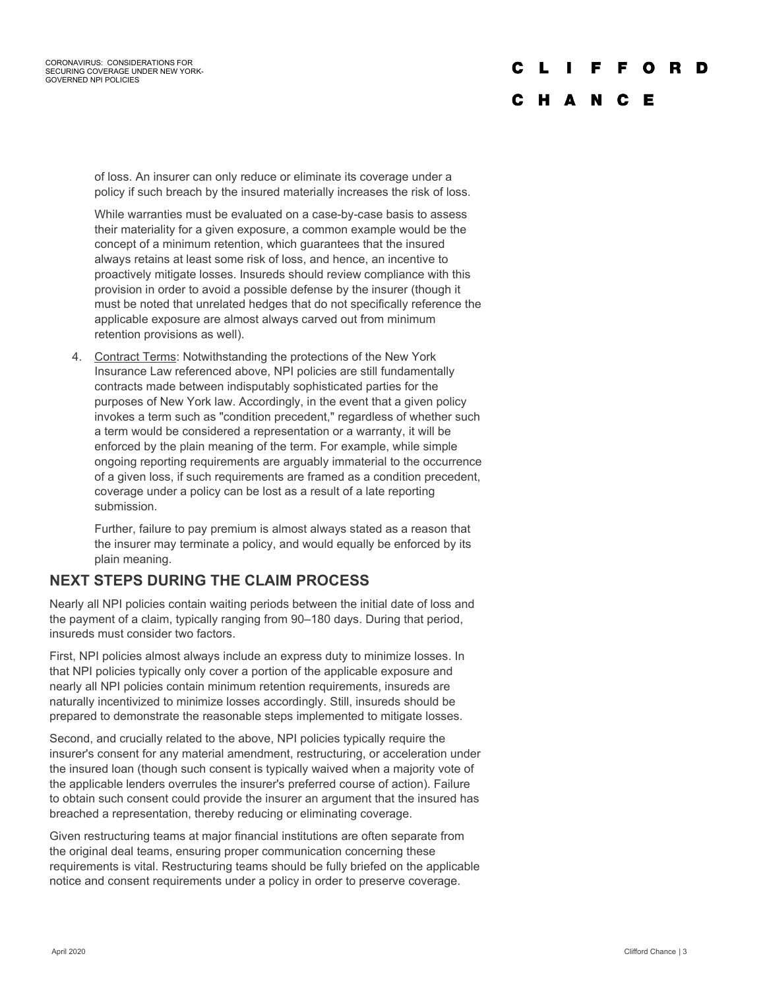#### **FFORD** C L

## C H A N C E

of loss. An insurer can only reduce or eliminate its coverage under a policy if such breach by the insured materially increases the risk of loss.

While warranties must be evaluated on a case-by-case basis to assess their materiality for a given exposure, a common example would be the concept of a minimum retention, which guarantees that the insured always retains at least some risk of loss, and hence, an incentive to proactively mitigate losses. Insureds should review compliance with this provision in order to avoid a possible defense by the insurer (though it must be noted that unrelated hedges that do not specifically reference the applicable exposure are almost always carved out from minimum retention provisions as well).

4. Contract Terms: Notwithstanding the protections of the New York Insurance Law referenced above, NPI policies are still fundamentally contracts made between indisputably sophisticated parties for the purposes of New York law. Accordingly, in the event that a given policy invokes a term such as "condition precedent," regardless of whether such a term would be considered a representation or a warranty, it will be enforced by the plain meaning of the term. For example, while simple ongoing reporting requirements are arguably immaterial to the occurrence of a given loss, if such requirements are framed as a condition precedent, coverage under a policy can be lost as a result of a late reporting submission.

Further, failure to pay premium is almost always stated as a reason that the insurer may terminate a policy, and would equally be enforced by its plain meaning.

### **NEXT STEPS DURING THE CLAIM PROCESS**

Nearly all NPI policies contain waiting periods between the initial date of loss and the payment of a claim, typically ranging from 90–180 days. During that period, insureds must consider two factors.

First, NPI policies almost always include an express duty to minimize losses. In that NPI policies typically only cover a portion of the applicable exposure and nearly all NPI policies contain minimum retention requirements, insureds are naturally incentivized to minimize losses accordingly. Still, insureds should be prepared to demonstrate the reasonable steps implemented to mitigate losses.

Second, and crucially related to the above, NPI policies typically require the insurer's consent for any material amendment, restructuring, or acceleration under the insured loan (though such consent is typically waived when a majority vote of the applicable lenders overrules the insurer's preferred course of action). Failure to obtain such consent could provide the insurer an argument that the insured has breached a representation, thereby reducing or eliminating coverage.

Given restructuring teams at major financial institutions are often separate from the original deal teams, ensuring proper communication concerning these requirements is vital. Restructuring teams should be fully briefed on the applicable notice and consent requirements under a policy in order to preserve coverage.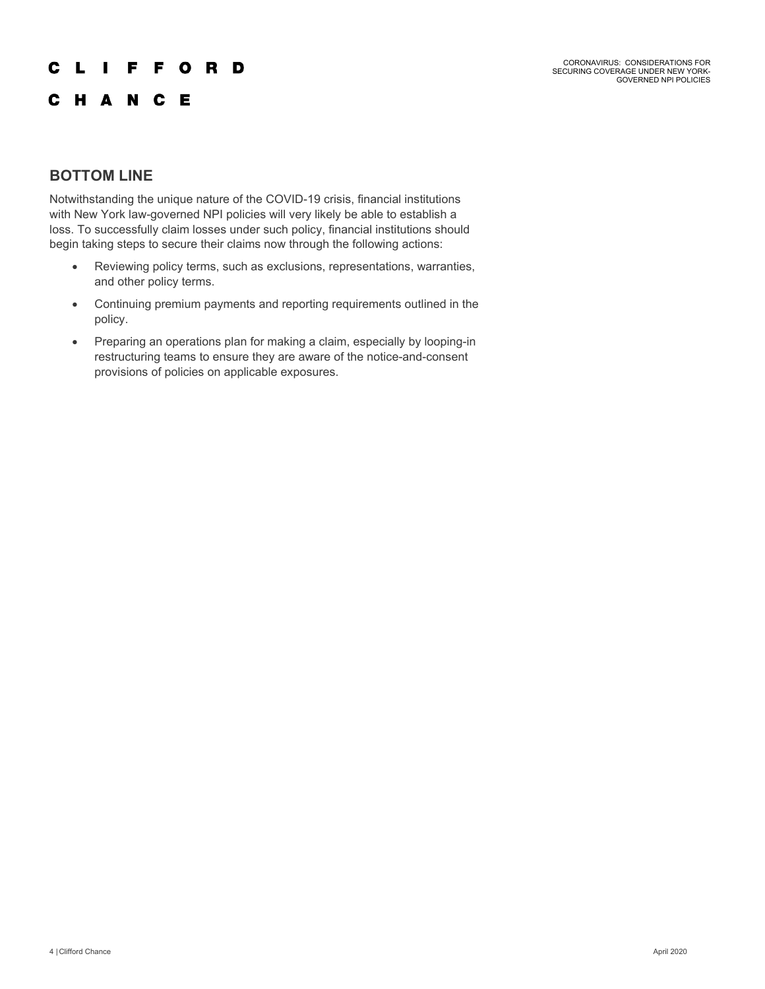#### $\mathbf{L}$   $\mathbf{L}$ **FFORD** C

CORONAVIRUS: CONSIDERATIONS FOR SECURING COVERAGE UNDER NEW YORK-GOVERNED NPI POLICIES

## C H A N C E

## **BOTTOM LINE**

Notwithstanding the unique nature of the COVID-19 crisis, financial institutions with New York law-governed NPI policies will very likely be able to establish a loss. To successfully claim losses under such policy, financial institutions should begin taking steps to secure their claims now through the following actions:

- Reviewing policy terms, such as exclusions, representations, warranties, and other policy terms.
- Continuing premium payments and reporting requirements outlined in the policy.
- Preparing an operations plan for making a claim, especially by looping-in restructuring teams to ensure they are aware of the notice-and-consent provisions of policies on applicable exposures.